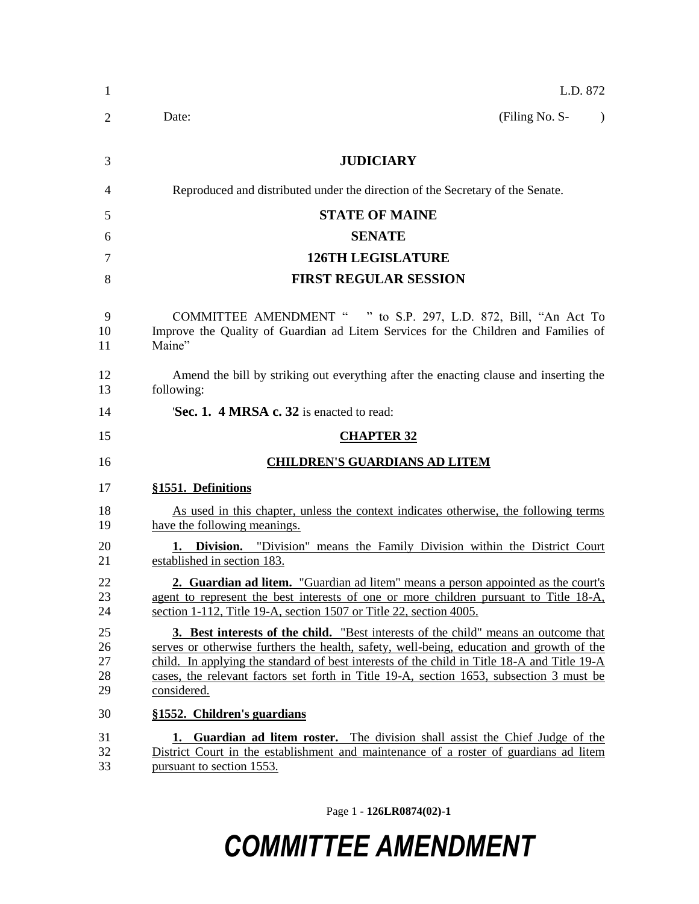| L.D. 872                                                                                                                                                                                                                                                                                                                                                                                        |
|-------------------------------------------------------------------------------------------------------------------------------------------------------------------------------------------------------------------------------------------------------------------------------------------------------------------------------------------------------------------------------------------------|
| (Filing No. S-<br>Date:                                                                                                                                                                                                                                                                                                                                                                         |
| <b>JUDICIARY</b>                                                                                                                                                                                                                                                                                                                                                                                |
| Reproduced and distributed under the direction of the Secretary of the Senate.                                                                                                                                                                                                                                                                                                                  |
| <b>STATE OF MAINE</b>                                                                                                                                                                                                                                                                                                                                                                           |
| <b>SENATE</b>                                                                                                                                                                                                                                                                                                                                                                                   |
| <b>126TH LEGISLATURE</b>                                                                                                                                                                                                                                                                                                                                                                        |
| <b>FIRST REGULAR SESSION</b>                                                                                                                                                                                                                                                                                                                                                                    |
| COMMITTEE AMENDMENT " " to S.P. 297, L.D. 872, Bill, "An Act To<br>Improve the Quality of Guardian ad Litem Services for the Children and Families of<br>Maine"                                                                                                                                                                                                                                 |
| Amend the bill by striking out everything after the enacting clause and inserting the<br>following:                                                                                                                                                                                                                                                                                             |
| Sec. 1. 4 MRSA c. 32 is enacted to read:                                                                                                                                                                                                                                                                                                                                                        |
| <b>CHAPTER 32</b>                                                                                                                                                                                                                                                                                                                                                                               |
| <b>CHILDREN'S GUARDIANS AD LITEM</b>                                                                                                                                                                                                                                                                                                                                                            |
| §1551. Definitions                                                                                                                                                                                                                                                                                                                                                                              |
| As used in this chapter, unless the context indicates otherwise, the following terms<br>have the following meanings.                                                                                                                                                                                                                                                                            |
| <b>1. Division.</b> "Division" means the Family Division within the District Court<br>established in section 183.                                                                                                                                                                                                                                                                               |
| <b>2. Guardian ad litem.</b> "Guardian ad litem" means a person appointed as the court's<br>agent to represent the best interests of one or more children pursuant to Title 18-A,<br>section 1-112, Title 19-A, section 1507 or Title 22, section 4005.                                                                                                                                         |
| <b>3. Best interests of the child.</b> "Best interests of the child" means an outcome that<br>serves or otherwise furthers the health, safety, well-being, education and growth of the<br>child. In applying the standard of best interests of the child in Title 18-A and Title 19-A<br>cases, the relevant factors set forth in Title 19-A, section 1653, subsection 3 must be<br>considered. |
| §1552. Children's guardians                                                                                                                                                                                                                                                                                                                                                                     |
| Guardian ad litem roster. The division shall assist the Chief Judge of the<br>1.<br>District Court in the establishment and maintenance of a roster of guardians ad litem<br>pursuant to section 1553.                                                                                                                                                                                          |

Page 1 **- 126LR0874(02)-1**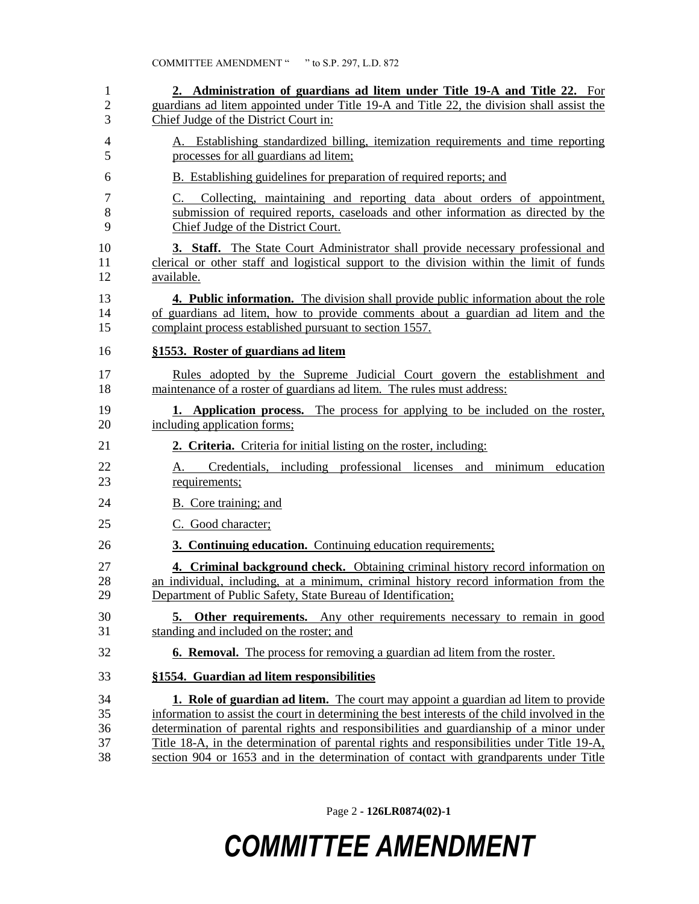| 1<br>$\overline{2}$<br>3   | 2. Administration of guardians ad litem under Title 19-A and Title 22. For<br>guardians ad litem appointed under Title 19-A and Title 22, the division shall assist the<br>Chief Judge of the District Court in:                                                                                                                                                                                                                                                              |
|----------------------------|-------------------------------------------------------------------------------------------------------------------------------------------------------------------------------------------------------------------------------------------------------------------------------------------------------------------------------------------------------------------------------------------------------------------------------------------------------------------------------|
| 4<br>5                     | A. Establishing standardized billing, itemization requirements and time reporting<br>processes for all guardians ad litem;                                                                                                                                                                                                                                                                                                                                                    |
| 6                          | B. Establishing guidelines for preparation of required reports; and                                                                                                                                                                                                                                                                                                                                                                                                           |
| $\tau$<br>8<br>9           | Collecting, maintaining and reporting data about orders of appointment,<br>C.<br>submission of required reports, caseloads and other information as directed by the<br>Chief Judge of the District Court.                                                                                                                                                                                                                                                                     |
| 10<br>11<br>12             | <b>3. Staff.</b> The State Court Administrator shall provide necessary professional and<br>clerical or other staff and logistical support to the division within the limit of funds<br>available.                                                                                                                                                                                                                                                                             |
| 13<br>14<br>15             | 4. Public information. The division shall provide public information about the role<br>of guardians ad litem, how to provide comments about a guardian ad litem and the<br>complaint process established pursuant to section 1557.                                                                                                                                                                                                                                            |
| 16                         | §1553. Roster of guardians ad litem                                                                                                                                                                                                                                                                                                                                                                                                                                           |
| 17<br>18                   | Rules adopted by the Supreme Judicial Court govern the establishment and<br>maintenance of a roster of guardians ad litem. The rules must address:                                                                                                                                                                                                                                                                                                                            |
| 19<br>20                   | <b>1.</b> Application process. The process for applying to be included on the roster,<br>including application forms;                                                                                                                                                                                                                                                                                                                                                         |
| 21                         | 2. Criteria. Criteria for initial listing on the roster, including:                                                                                                                                                                                                                                                                                                                                                                                                           |
| 22<br>23                   | Credentials, including professional licenses and<br>minimum education<br>А.<br>requirements;                                                                                                                                                                                                                                                                                                                                                                                  |
| 24                         | B. Core training; and                                                                                                                                                                                                                                                                                                                                                                                                                                                         |
| 25                         | C. Good character;                                                                                                                                                                                                                                                                                                                                                                                                                                                            |
| 26                         | 3. Continuing education. Continuing education requirements;                                                                                                                                                                                                                                                                                                                                                                                                                   |
| 27<br>28<br>29             | 4. Criminal background check. Obtaining criminal history record information on<br>an individual, including, at a minimum, criminal history record information from the<br>Department of Public Safety, State Bureau of Identification;                                                                                                                                                                                                                                        |
| 30<br>31                   | <b>5. Other requirements.</b> Any other requirements necessary to remain in good<br>standing and included on the roster; and                                                                                                                                                                                                                                                                                                                                                  |
| 32                         | <b>6. Removal.</b> The process for removing a guardian ad litem from the roster.                                                                                                                                                                                                                                                                                                                                                                                              |
| 33                         | §1554. Guardian ad litem responsibilities                                                                                                                                                                                                                                                                                                                                                                                                                                     |
| 34<br>35<br>36<br>37<br>38 | <b>1. Role of guardian ad litem.</b> The court may appoint a guardian ad litem to provide<br>information to assist the court in determining the best interests of the child involved in the<br>determination of parental rights and responsibilities and guardianship of a minor under<br>Title 18-A, in the determination of parental rights and responsibilities under Title 19-A,<br>section 904 or 1653 and in the determination of contact with grandparents under Title |

Page 2 **- 126LR0874(02)-1**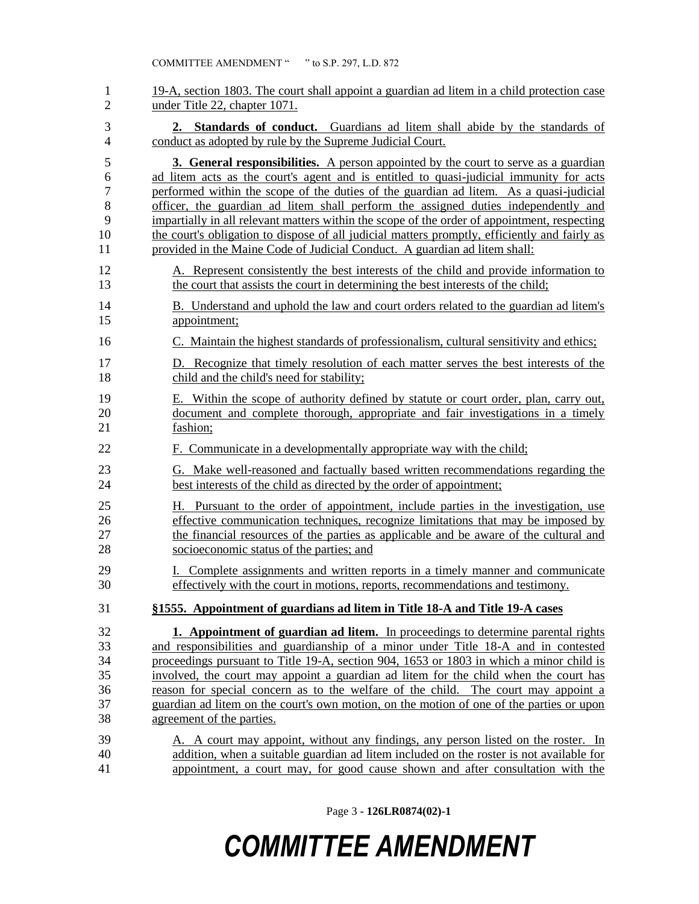| $\mathbf{1}$             | 19-A, section 1803. The court shall appoint a guardian ad litem in a child protection case    |
|--------------------------|-----------------------------------------------------------------------------------------------|
| $\overline{2}$           | under Title 22, chapter 1071.                                                                 |
| 3                        | 2. Standards of conduct. Guardians ad litem shall abide by the standards of                   |
| $\overline{\mathcal{L}}$ | conduct as adopted by rule by the Supreme Judicial Court.                                     |
| 5                        | <b>3. General responsibilities.</b> A person appointed by the court to serve as a guardian    |
| 6                        | ad litem acts as the court's agent and is entitled to quasi-judicial immunity for acts        |
| $\boldsymbol{7}$         | performed within the scope of the duties of the guardian ad litem. As a quasi-judicial        |
| 8                        | officer, the guardian ad litem shall perform the assigned duties independently and            |
| 9                        | impartially in all relevant matters within the scope of the order of appointment, respecting  |
| 10                       | the court's obligation to dispose of all judicial matters promptly, efficiently and fairly as |
| 11                       | provided in the Maine Code of Judicial Conduct. A guardian ad litem shall:                    |
| 12                       | A. Represent consistently the best interests of the child and provide information to          |
| 13                       | the court that assists the court in determining the best interests of the child;              |
| 14                       | B. Understand and uphold the law and court orders related to the guardian ad litem's          |
| 15                       | appointment;                                                                                  |
| 16                       | C. Maintain the highest standards of professionalism, cultural sensitivity and ethics;        |
| 17                       | D. Recognize that timely resolution of each matter serves the best interests of the           |
| 18                       | child and the child's need for stability;                                                     |
| 19                       | E. Within the scope of authority defined by statute or court order, plan, carry out,          |
| 20                       | document and complete thorough, appropriate and fair investigations in a timely               |
| 21                       | fashion;                                                                                      |
| 22                       | F. Communicate in a developmentally appropriate way with the child;                           |
| 23                       | G. Make well-reasoned and factually based written recommendations regarding the               |
| 24                       | best interests of the child as directed by the order of appointment;                          |
| 25                       | H. Pursuant to the order of appointment, include parties in the investigation, use            |
| 26                       | effective communication techniques, recognize limitations that may be imposed by              |
| 27                       | the financial resources of the parties as applicable and be aware of the cultural and         |
| 28                       | socioeconomic status of the parties; and                                                      |
| 29                       | I. Complete assignments and written reports in a timely manner and communicate                |
| 30                       | effectively with the court in motions, reports, recommendations and testimony.                |
| 31                       | §1555. Appointment of guardians ad litem in Title 18-A and Title 19-A cases                   |
| 32                       | <b>1. Appointment of guardian ad litem.</b> In proceedings to determine parental rights       |
| 33                       | and responsibilities and guardianship of a minor under Title 18-A and in contested            |
| 34                       | proceedings pursuant to Title 19-A, section 904, 1653 or 1803 in which a minor child is       |
| 35                       | involved, the court may appoint a guardian ad litem for the child when the court has          |
| 36                       | reason for special concern as to the welfare of the child. The court may appoint a            |
| 37                       | guardian ad litem on the court's own motion, on the motion of one of the parties or upon      |
| 38                       | agreement of the parties.                                                                     |
| 39                       | A. A court may appoint, without any findings, any person listed on the roster. In             |
| 40                       | addition, when a suitable guardian ad litem included on the roster is not available for       |
| 41                       | appointment, a court may, for good cause shown and after consultation with the                |

Page 3 **- 126LR0874(02)-1**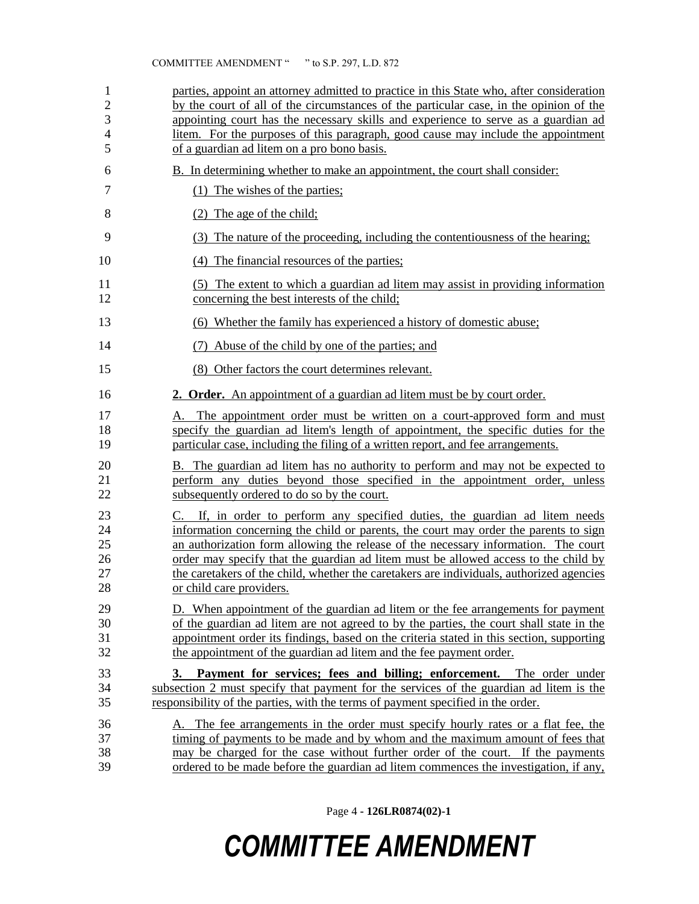| 1              | parties, appoint an attorney admitted to practice in this State who, after consideration |
|----------------|------------------------------------------------------------------------------------------|
| $\overline{2}$ | by the court of all of the circumstances of the particular case, in the opinion of the   |
| 3              | appointing court has the necessary skills and experience to serve as a guardian ad       |
| $\overline{4}$ | litem. For the purposes of this paragraph, good cause may include the appointment        |
| 5              | of a guardian ad litem on a pro bono basis.                                              |
| 6              | B. In determining whether to make an appointment, the court shall consider:              |
| 7              | (1) The wishes of the parties;                                                           |
| 8              | $(2)$ The age of the child;                                                              |
| 9              | The nature of the proceeding, including the contentiousness of the hearing;<br>(3)       |
| 10             | (4) The financial resources of the parties;                                              |
| 11             | (5) The extent to which a guardian ad litem may assist in providing information          |
| 12             | concerning the best interests of the child;                                              |
| 13             | (6) Whether the family has experienced a history of domestic abuse;                      |
| 14             | Abuse of the child by one of the parties; and                                            |
| 15             | (8) Other factors the court determines relevant.                                         |
| 16             | 2. Order. An appointment of a guardian ad litem must be by court order.                  |
| 17             | A. The appointment order must be written on a court-approved form and must               |
| 18             | specify the guardian ad litem's length of appointment, the specific duties for the       |
| 19             | particular case, including the filing of a written report, and fee arrangements.         |
| 20             | B. The guardian ad litem has no authority to perform and may not be expected to          |
| 21             | perform any duties beyond those specified in the appointment order, unless               |
| 22             | subsequently ordered to do so by the court.                                              |
| 23             | C. If, in order to perform any specified duties, the guardian ad litem needs             |
| 24             | information concerning the child or parents, the court may order the parents to sign     |
| 25             | an authorization form allowing the release of the necessary information. The court       |
| 26             | order may specify that the guardian ad litem must be allowed access to the child by      |
| 27             | the caretakers of the child, whether the caretakers are individuals, authorized agencies |
| 28             | or child care providers                                                                  |
| 29             | D. When appointment of the guardian ad litem or the fee arrangements for payment         |
| 30             | of the guardian ad litem are not agreed to by the parties, the court shall state in the  |
| 31             | appointment order its findings, based on the criteria stated in this section, supporting |
| 32             | the appointment of the guardian ad litem and the fee payment order.                      |
| 33             | 3. Payment for services; fees and billing; enforcement. The order under                  |
| 34             | subsection 2 must specify that payment for the services of the guardian ad litem is the  |
| 35             | responsibility of the parties, with the terms of payment specified in the order.         |
| 36             | A. The fee arrangements in the order must specify hourly rates or a flat fee, the        |
| 37             | timing of payments to be made and by whom and the maximum amount of fees that            |
| 38             | may be charged for the case without further order of the court. If the payments          |
| 39             | ordered to be made before the guardian ad litem commences the investigation, if any,     |

Page 4 **- 126LR0874(02)-1**

# *COMMITTEE AMENDMENT*

#### COMMITTEE AMENDMENT " " to S.P. 297, L.D. 872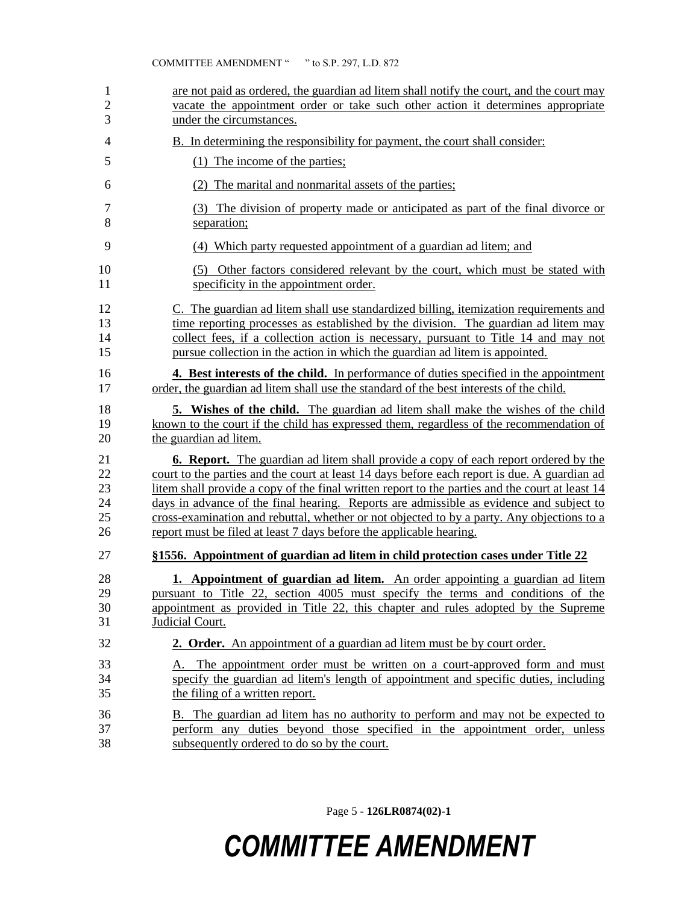| 1              | are not paid as ordered, the guardian ad litem shall notify the court, and the court may        |
|----------------|-------------------------------------------------------------------------------------------------|
| $\overline{c}$ | vacate the appointment order or take such other action it determines appropriate                |
| 3              | under the circumstances.                                                                        |
| 4              | <b>B.</b> In determining the responsibility for payment, the court shall consider:              |
| 5              | (1) The income of the parties;                                                                  |
| 6              | (2) The marital and nonmarital assets of the parties;                                           |
| 7              | (3) The division of property made or anticipated as part of the final divorce or                |
| 8              | separation;                                                                                     |
| 9              | (4) Which party requested appointment of a guardian ad litem; and                               |
| 10             | (5) Other factors considered relevant by the court, which must be stated with                   |
| 11             | specificity in the appointment order.                                                           |
| 12             | C. The guardian ad litem shall use standardized billing, itemization requirements and           |
| 13             | time reporting processes as established by the division. The guardian ad litem may              |
| 14             | collect fees, if a collection action is necessary, pursuant to Title 14 and may not             |
| 15             | pursue collection in the action in which the guardian ad litem is appointed.                    |
| 16             | 4. Best interests of the child. In performance of duties specified in the appointment           |
| 17             | order, the guardian ad litem shall use the standard of the best interests of the child.         |
| 18             | <b>5.</b> Wishes of the child. The guardian ad litem shall make the wishes of the child         |
| 19             | known to the court if the child has expressed them, regardless of the recommendation of         |
| 20             | the guardian ad litem.                                                                          |
| 21             | <b>6. Report.</b> The guardian ad litem shall provide a copy of each report ordered by the      |
| 22             | court to the parties and the court at least 14 days before each report is due. A guardian ad    |
| 23             | litem shall provide a copy of the final written report to the parties and the court at least 14 |
| 24             | days in advance of the final hearing. Reports are admissible as evidence and subject to         |
| 25             | cross-examination and rebuttal, whether or not objected to by a party. Any objections to a      |
| 26             | report must be filed at least 7 days before the applicable hearing.                             |
| 27             | §1556. Appointment of guardian ad litem in child protection cases under Title 22                |
| 28             | <b>1. Appointment of guardian ad litem.</b> An order appointing a guardian ad litem             |
| 29             | pursuant to Title 22, section 4005 must specify the terms and conditions of the                 |
| 30             | appointment as provided in Title 22, this chapter and rules adopted by the Supreme              |
| 31             | Judicial Court.                                                                                 |
| 32             | 2. Order. An appointment of a guardian ad litem must be by court order.                         |
| 33             | A. The appointment order must be written on a court-approved form and must                      |
| 34             | specify the guardian ad litem's length of appointment and specific duties, including            |
| 35             | the filing of a written report.                                                                 |
| 36             | <b>B.</b> The guardian ad litem has no authority to perform and may not be expected to          |
| 37             | perform any duties beyond those specified in the appointment order, unless                      |
| 38             | subsequently ordered to do so by the court.                                                     |

Page 5 **- 126LR0874(02)-1**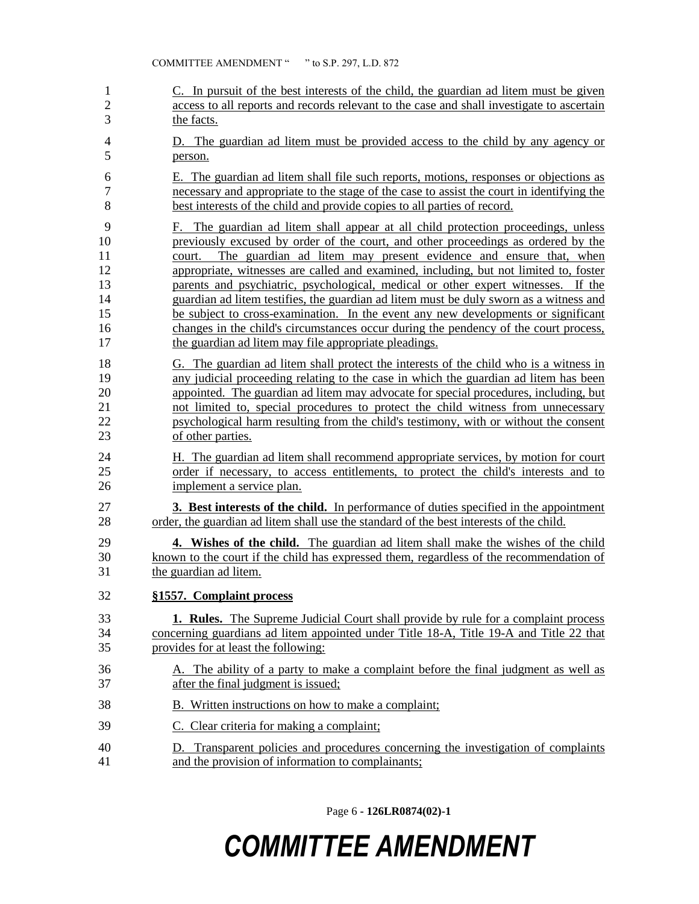| 1                                                 | C. In pursuit of the best interests of the child, the guardian ad litem must be given                                                                                                                                                                                                                                                                                                                                                                                                                                                                                                                                                                                                                                                                              |
|---------------------------------------------------|--------------------------------------------------------------------------------------------------------------------------------------------------------------------------------------------------------------------------------------------------------------------------------------------------------------------------------------------------------------------------------------------------------------------------------------------------------------------------------------------------------------------------------------------------------------------------------------------------------------------------------------------------------------------------------------------------------------------------------------------------------------------|
| $\overline{2}$                                    | access to all reports and records relevant to the case and shall investigate to ascertain                                                                                                                                                                                                                                                                                                                                                                                                                                                                                                                                                                                                                                                                          |
| 3                                                 | the facts.                                                                                                                                                                                                                                                                                                                                                                                                                                                                                                                                                                                                                                                                                                                                                         |
| 4                                                 | D. The guardian ad litem must be provided access to the child by any agency or                                                                                                                                                                                                                                                                                                                                                                                                                                                                                                                                                                                                                                                                                     |
| 5                                                 | person.                                                                                                                                                                                                                                                                                                                                                                                                                                                                                                                                                                                                                                                                                                                                                            |
| 6                                                 | E. The guardian ad litem shall file such reports, motions, responses or objections as                                                                                                                                                                                                                                                                                                                                                                                                                                                                                                                                                                                                                                                                              |
| 7                                                 | necessary and appropriate to the stage of the case to assist the court in identifying the                                                                                                                                                                                                                                                                                                                                                                                                                                                                                                                                                                                                                                                                          |
| 8                                                 | best interests of the child and provide copies to all parties of record.                                                                                                                                                                                                                                                                                                                                                                                                                                                                                                                                                                                                                                                                                           |
| 9<br>10<br>11<br>12<br>13<br>14<br>15<br>16<br>17 | F. The guardian ad litem shall appear at all child protection proceedings, unless<br>previously excused by order of the court, and other proceedings as ordered by the<br>The guardian ad litem may present evidence and ensure that, when<br>court.<br>appropriate, witnesses are called and examined, including, but not limited to, foster<br>parents and psychiatric, psychological, medical or other expert witnesses. If the<br>guardian ad litem testifies, the guardian ad litem must be duly sworn as a witness and<br>be subject to cross-examination. In the event any new developments or significant<br>changes in the child's circumstances occur during the pendency of the court process,<br>the guardian ad litem may file appropriate pleadings. |
| 18                                                | G. The guardian ad litem shall protect the interests of the child who is a witness in                                                                                                                                                                                                                                                                                                                                                                                                                                                                                                                                                                                                                                                                              |
| 19                                                | any judicial proceeding relating to the case in which the guardian ad litem has been                                                                                                                                                                                                                                                                                                                                                                                                                                                                                                                                                                                                                                                                               |
| 20                                                | appointed. The guardian ad litem may advocate for special procedures, including, but                                                                                                                                                                                                                                                                                                                                                                                                                                                                                                                                                                                                                                                                               |
| 21                                                | not limited to, special procedures to protect the child witness from unnecessary                                                                                                                                                                                                                                                                                                                                                                                                                                                                                                                                                                                                                                                                                   |
| 22                                                | psychological harm resulting from the child's testimony, with or without the consent                                                                                                                                                                                                                                                                                                                                                                                                                                                                                                                                                                                                                                                                               |
| 23                                                | of other parties.                                                                                                                                                                                                                                                                                                                                                                                                                                                                                                                                                                                                                                                                                                                                                  |
| 24                                                | H. The guardian ad litem shall recommend appropriate services, by motion for court                                                                                                                                                                                                                                                                                                                                                                                                                                                                                                                                                                                                                                                                                 |
| 25                                                | order if necessary, to access entitlements, to protect the child's interests and to                                                                                                                                                                                                                                                                                                                                                                                                                                                                                                                                                                                                                                                                                |
| 26                                                | implement a service plan.                                                                                                                                                                                                                                                                                                                                                                                                                                                                                                                                                                                                                                                                                                                                          |
| 27                                                | <b>3. Best interests of the child.</b> In performance of duties specified in the appointment                                                                                                                                                                                                                                                                                                                                                                                                                                                                                                                                                                                                                                                                       |
| 28                                                | order, the guardian ad litem shall use the standard of the best interests of the child.                                                                                                                                                                                                                                                                                                                                                                                                                                                                                                                                                                                                                                                                            |
| 29                                                | 4. Wishes of the child. The guardian ad litem shall make the wishes of the child                                                                                                                                                                                                                                                                                                                                                                                                                                                                                                                                                                                                                                                                                   |
| 30                                                | known to the court if the child has expressed them, regardless of the recommendation of                                                                                                                                                                                                                                                                                                                                                                                                                                                                                                                                                                                                                                                                            |
| 31                                                | the guardian ad litem.                                                                                                                                                                                                                                                                                                                                                                                                                                                                                                                                                                                                                                                                                                                                             |
| 32                                                | §1557. Complaint process                                                                                                                                                                                                                                                                                                                                                                                                                                                                                                                                                                                                                                                                                                                                           |
| 33                                                | <b>1. Rules.</b> The Supreme Judicial Court shall provide by rule for a complaint process                                                                                                                                                                                                                                                                                                                                                                                                                                                                                                                                                                                                                                                                          |
| 34                                                | concerning guardians ad litem appointed under Title 18-A, Title 19-A and Title 22 that                                                                                                                                                                                                                                                                                                                                                                                                                                                                                                                                                                                                                                                                             |
| 35                                                | provides for at least the following:                                                                                                                                                                                                                                                                                                                                                                                                                                                                                                                                                                                                                                                                                                                               |
| 36                                                | A. The ability of a party to make a complaint before the final judgment as well as                                                                                                                                                                                                                                                                                                                                                                                                                                                                                                                                                                                                                                                                                 |
| 37                                                | after the final judgment is issued;                                                                                                                                                                                                                                                                                                                                                                                                                                                                                                                                                                                                                                                                                                                                |
| 38                                                | B. Written instructions on how to make a complaint;                                                                                                                                                                                                                                                                                                                                                                                                                                                                                                                                                                                                                                                                                                                |
| 39                                                | C. Clear criteria for making a complaint;                                                                                                                                                                                                                                                                                                                                                                                                                                                                                                                                                                                                                                                                                                                          |
| 40                                                | D. Transparent policies and procedures concerning the investigation of complaints                                                                                                                                                                                                                                                                                                                                                                                                                                                                                                                                                                                                                                                                                  |
| 41                                                | and the provision of information to complainants;                                                                                                                                                                                                                                                                                                                                                                                                                                                                                                                                                                                                                                                                                                                  |

Page 6 **- 126LR0874(02)-1**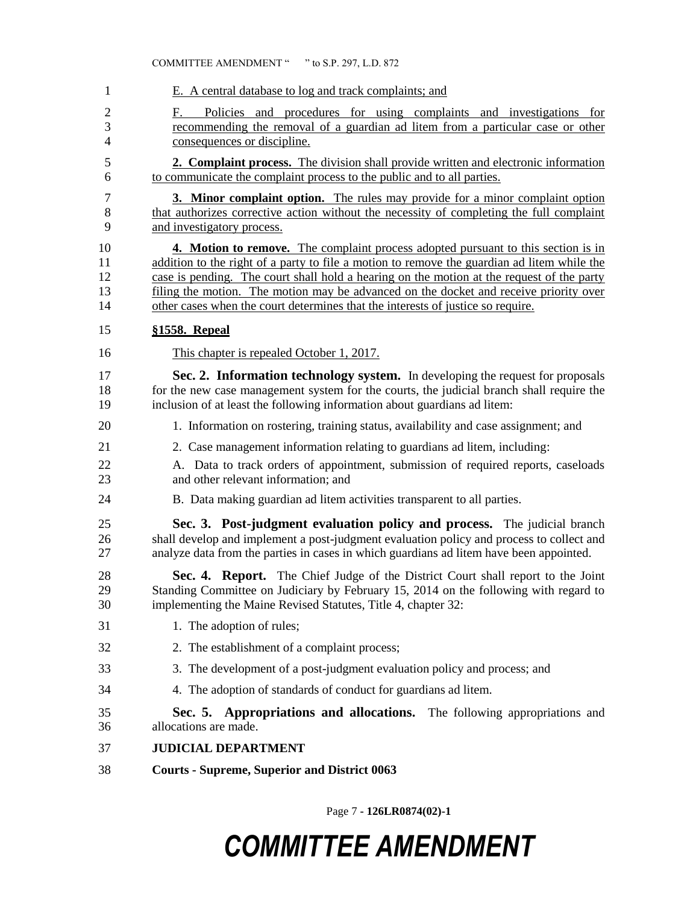| 1                                               | E. A central database to log and track complaints; and                                                                                                                                                                                                                                                                                                                                                                                                    |
|-------------------------------------------------|-----------------------------------------------------------------------------------------------------------------------------------------------------------------------------------------------------------------------------------------------------------------------------------------------------------------------------------------------------------------------------------------------------------------------------------------------------------|
| $\overline{2}$<br>3<br>$\overline{\mathcal{L}}$ | F.<br>Policies and procedures for using complaints and investigations for<br>recommending the removal of a guardian ad litem from a particular case or other<br>consequences or discipline.                                                                                                                                                                                                                                                               |
| 5<br>6                                          | 2. Complaint process. The division shall provide written and electronic information<br>to communicate the complaint process to the public and to all parties.                                                                                                                                                                                                                                                                                             |
| 7<br>8<br>9                                     | <b>3. Minor complaint option.</b> The rules may provide for a minor complaint option<br>that authorizes corrective action without the necessity of completing the full complaint<br>and investigatory process.                                                                                                                                                                                                                                            |
| 10<br>11<br>12<br>13<br>14                      | 4. Motion to remove. The complaint process adopted pursuant to this section is in<br>addition to the right of a party to file a motion to remove the guardian ad litem while the<br>case is pending. The court shall hold a hearing on the motion at the request of the party<br>filing the motion. The motion may be advanced on the docket and receive priority over<br>other cases when the court determines that the interests of justice so require. |
| 15                                              | §1558. Repeal                                                                                                                                                                                                                                                                                                                                                                                                                                             |
| 16                                              | This chapter is repealed October 1, 2017.                                                                                                                                                                                                                                                                                                                                                                                                                 |
| 17<br>18<br>19                                  | Sec. 2. Information technology system. In developing the request for proposals<br>for the new case management system for the courts, the judicial branch shall require the<br>inclusion of at least the following information about guardians ad litem:                                                                                                                                                                                                   |
| 20                                              | 1. Information on rostering, training status, availability and case assignment; and                                                                                                                                                                                                                                                                                                                                                                       |
| 21<br>22<br>23                                  | 2. Case management information relating to guardians ad litem, including:<br>A. Data to track orders of appointment, submission of required reports, caseloads<br>and other relevant information; and                                                                                                                                                                                                                                                     |
| 24                                              | B. Data making guardian ad litem activities transparent to all parties.                                                                                                                                                                                                                                                                                                                                                                                   |
| 25<br>26<br>27                                  | Sec. 3. Post-judgment evaluation policy and process. The judicial branch<br>shall develop and implement a post-judgment evaluation policy and process to collect and<br>analyze data from the parties in cases in which guardians ad litem have been appointed.                                                                                                                                                                                           |
| 28<br>29<br>30                                  | Sec. 4. Report. The Chief Judge of the District Court shall report to the Joint<br>Standing Committee on Judiciary by February 15, 2014 on the following with regard to<br>implementing the Maine Revised Statutes, Title 4, chapter 32:                                                                                                                                                                                                                  |
| 31                                              | 1. The adoption of rules;                                                                                                                                                                                                                                                                                                                                                                                                                                 |
| 32                                              | 2. The establishment of a complaint process;                                                                                                                                                                                                                                                                                                                                                                                                              |
| 33                                              | 3. The development of a post-judgment evaluation policy and process; and                                                                                                                                                                                                                                                                                                                                                                                  |
| 34                                              | 4. The adoption of standards of conduct for guardians ad litem.                                                                                                                                                                                                                                                                                                                                                                                           |
| 35<br>36                                        | Sec. 5. Appropriations and allocations. The following appropriations and<br>allocations are made.                                                                                                                                                                                                                                                                                                                                                         |
| 37                                              | <b>JUDICIAL DEPARTMENT</b>                                                                                                                                                                                                                                                                                                                                                                                                                                |
| 38                                              | <b>Courts - Supreme, Superior and District 0063</b>                                                                                                                                                                                                                                                                                                                                                                                                       |

Page 7 **- 126LR0874(02)-1**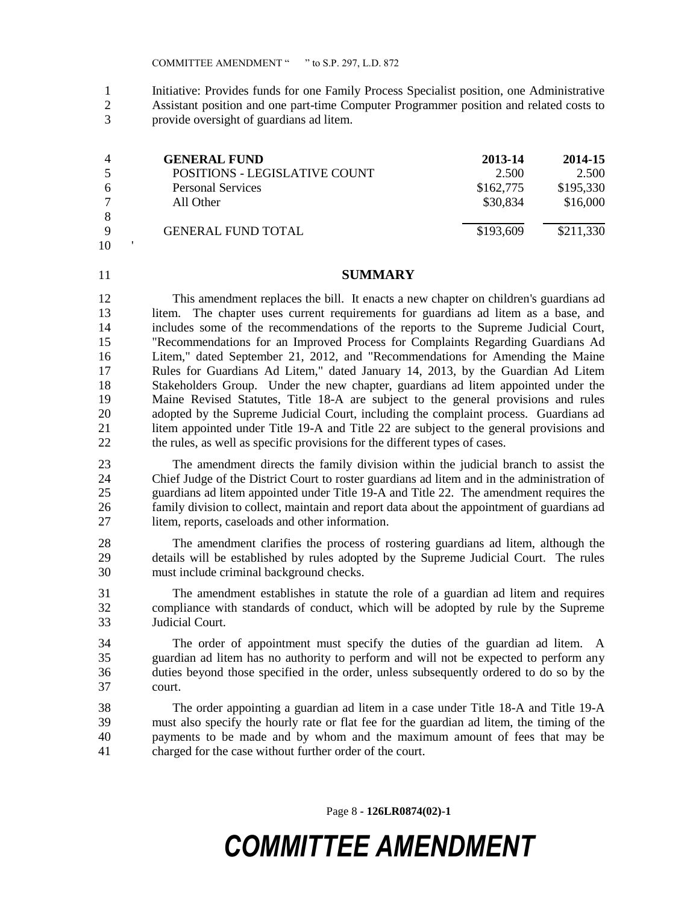Initiative: Provides funds for one Family Process Specialist position, one Administrative Assistant position and one part-time Computer Programmer position and related costs to provide oversight of guardians ad litem.

|    | <b>GENERAL FUND</b>           | 2013-14   | 2014-15   |
|----|-------------------------------|-----------|-----------|
|    | POSITIONS - LEGISLATIVE COUNT | 2.500     | 2.500     |
|    | <b>Personal Services</b>      | \$162,775 | \$195,330 |
|    | All Other                     | \$30,834  | \$16,000  |
|    |                               |           |           |
|    | <b>GENERAL FUND TOTAL</b>     | \$193,609 | \$211,330 |
| 10 |                               |           |           |

#### **SUMMARY**

 This amendment replaces the bill. It enacts a new chapter on children's guardians ad litem. The chapter uses current requirements for guardians ad litem as a base, and includes some of the recommendations of the reports to the Supreme Judicial Court, "Recommendations for an Improved Process for Complaints Regarding Guardians Ad Litem," dated September 21, 2012, and "Recommendations for Amending the Maine Rules for Guardians Ad Litem," dated January 14, 2013, by the Guardian Ad Litem Stakeholders Group. Under the new chapter, guardians ad litem appointed under the Maine Revised Statutes, Title 18-A are subject to the general provisions and rules adopted by the Supreme Judicial Court, including the complaint process. Guardians ad 21 litem appointed under Title 19-A and Title 22 are subject to the general provisions and the rules, as well as specific provisions for the different types of cases.

 The amendment directs the family division within the judicial branch to assist the Chief Judge of the District Court to roster guardians ad litem and in the administration of guardians ad litem appointed under Title 19-A and Title 22. The amendment requires the family division to collect, maintain and report data about the appointment of guardians ad litem, reports, caseloads and other information.

 The amendment clarifies the process of rostering guardians ad litem, although the details will be established by rules adopted by the Supreme Judicial Court. The rules must include criminal background checks.

 The amendment establishes in statute the role of a guardian ad litem and requires compliance with standards of conduct, which will be adopted by rule by the Supreme Judicial Court.

 The order of appointment must specify the duties of the guardian ad litem. A guardian ad litem has no authority to perform and will not be expected to perform any duties beyond those specified in the order, unless subsequently ordered to do so by the court.

 The order appointing a guardian ad litem in a case under Title 18-A and Title 19-A must also specify the hourly rate or flat fee for the guardian ad litem, the timing of the payments to be made and by whom and the maximum amount of fees that may be charged for the case without further order of the court.

Page 8 **- 126LR0874(02)-1**